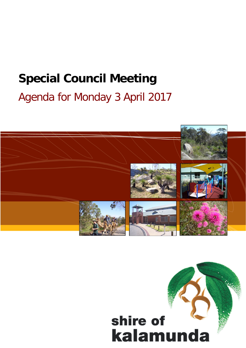# **Special Council Meeting** Agenda for Monday 3 April 2017



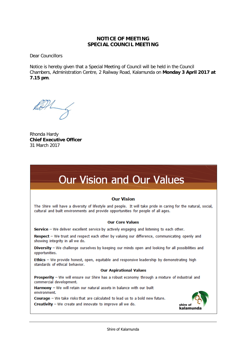#### **NOTICE OF MEETING SPECIAL COUNCIL MEETING**

Dear Councillors

Notice is hereby given that a Special Meeting of Council will be held in the Council Chambers, Administration Centre, 2 Railway Road, Kalamunda on **Monday 3 April 2017 at 7.15 pm**.

Rhonda Hardy **Chief Executive Officer** 31 March 2017

## **Our Vision and Our Values**

#### **Our Vision**

The Shire will have a diversity of lifestyle and people. It will take pride in caring for the natural, social, cultural and built environments and provide opportunities for people of all ages.

#### **Our Core Values**

Service - We deliver excellent service by actively engaging and listening to each other.

Respect - We trust and respect each other by valuing our difference, communicating openly and showing integrity in all we do.

Diversity - We challenge ourselves by keeping our minds open and looking for all possibilities and opportunities.

Ethics - We provide honest, open, equitable and responsive leadership by demonstrating high standards of ethical behavior.

#### **Our Aspirational Values**

Prosperity - We will ensure our Shire has a robust economy through a mixture of industrial and commercial development.

Harmony - We will retain our natural assets in balance with our built environment.

Courage - We take risks that are calculated to lead us to a bold new future.

**Creativity**  $-$  We create and innovate to improve all we do.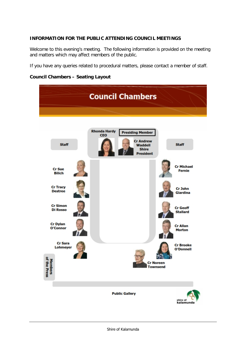#### **INFORMATION FOR THE PUBLIC ATTENDING COUNCIL MEETINGS**

Welcome to this evening's meeting. The following information is provided on the meeting and matters which may affect members of the public.

If you have any queries related to procedural matters, please contact a member of staff.

#### **Council Chambers – Seating Layout**

|                                    | <b>Council Chambers</b>                                                                     |                                      |
|------------------------------------|---------------------------------------------------------------------------------------------|--------------------------------------|
|                                    |                                                                                             |                                      |
| <b>Staff</b>                       | <b>Rhonda Hardy</b><br><b>Presiding Member</b><br><b>CEO</b><br><b>Cr Andrew</b><br>Waddell | <b>Staff</b>                         |
|                                    | <b>Shire</b><br><b>President</b>                                                            |                                      |
| <b>Cr Sue</b><br><b>Bilich</b>     |                                                                                             | <b>Cr Michael</b><br><b>Fernie</b>   |
| <b>Cr Tracy</b><br><b>Destree</b>  |                                                                                             | Cr John<br>Giardina                  |
| <b>Cr Simon</b><br><b>Di Rosso</b> |                                                                                             | <b>Cr</b> Geoff<br><b>Stallard</b>   |
| <b>Cr Dylan</b><br>O'Connor        |                                                                                             | <b>Cr Allan</b><br><b>Morton</b>     |
| <b>Cr Sara</b><br>Lohmeyer         |                                                                                             | <b>Cr Brooke</b><br><b>O'Donnell</b> |
| ᄛ<br><b>Press</b>                  |                                                                                             | <b>Cr Noreen</b><br><b>Townsend</b>  |
|                                    |                                                                                             |                                      |
|                                    | <b>Public Gallery</b>                                                                       | shire of<br>kalamunda                |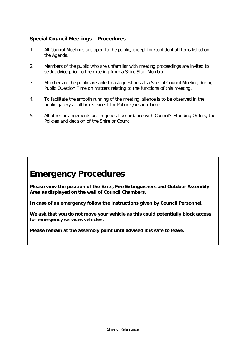#### **Special Council Meetings – Procedures**

- 1. All Council Meetings are open to the public, except for Confidential Items listed on the Agenda.
- 2. Members of the public who are unfamiliar with meeting proceedings are invited to seek advice prior to the meeting from a Shire Staff Member.
- 3. Members of the public are able to ask questions at a Special Council Meeting during Public Question Time on matters relating to the functions of this meeting.
- 4. To facilitate the smooth running of the meeting, silence is to be observed in the public gallery at all times except for Public Question Time.
- 5. All other arrangements are in general accordance with Council's Standing Orders, the Policies and decision of the Shire or Council.

## **Emergency Procedures**

**Please view the position of the Exits, Fire Extinguishers and Outdoor Assembly Area as displayed on the wall of Council Chambers.**

**In case of an emergency follow the instructions given by Council Personnel.**

**We ask that you do not move your vehicle as this could potentially block access for emergency services vehicles.**

**Please remain at the assembly point until advised it is safe to leave.**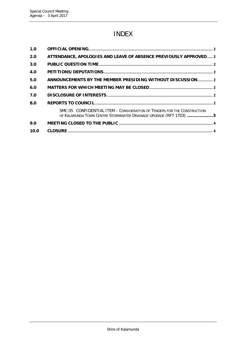## INDEX

| 1.0  |                                                                                                                                               |  |
|------|-----------------------------------------------------------------------------------------------------------------------------------------------|--|
| 2.0  | ATTENDANCE, APOLOGIES AND LEAVE OF ABSENCE PREVIOUSLY APPROVED 2                                                                              |  |
| 3.0  |                                                                                                                                               |  |
| 4.0  |                                                                                                                                               |  |
| 5.0  | ANNOUNCEMENTS BY THE MEMBER PRESIDING WITHOUT DISCUSSION 2                                                                                    |  |
| 6.0  |                                                                                                                                               |  |
| 7.0  |                                                                                                                                               |  |
| 8.0  |                                                                                                                                               |  |
|      | SMC 05 CONFIDENTIAL ITEM - CONSIDERATION OF TENDERS FOR THE CONSTRUCTION<br>OF KALAMUNDA TOWN CENTRE STORMWATER DRAINAGE UPGRADE (RFT 1703) 3 |  |
| 9.0  |                                                                                                                                               |  |
| 10.0 |                                                                                                                                               |  |
|      |                                                                                                                                               |  |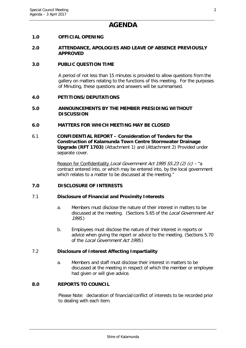### **AGENDA**

#### <span id="page-6-0"></span>**1.0 OFFICIAL OPENING**

#### <span id="page-6-1"></span>**2.0 ATTENDANCE, APOLOGIES AND LEAVE OF ABSENCE PREVIOUSLY APPROVED**

#### <span id="page-6-2"></span>**3.0 PUBLIC QUESTION TIME**

A period of not less than 15 minutes is provided to allow questions from the gallery on matters relating to the functions of this meeting. For the purposes of Minuting, these questions and answers will be summarised.

#### <span id="page-6-3"></span>**4.0 PETITIONS/DEPUTATIONS**

#### <span id="page-6-4"></span>**5.0 ANNOUNCEMENTS BY THE MEMBER PRESIDING WITHOUT DISCUSSION**

#### <span id="page-6-5"></span>**6.0 MATTERS FOR WHICH MEETING MAY BE CLOSED**

6.1 **CONFIDENTIAL REPORT – Consideration of Tenders for the Construction of Kalamunda Town Centre Stormwater Drainage Upgrade (RFT 1703)** (Attachment 1) and (Attachment 2) Provided under separate cover.

> Reason for Confidentiality Local Government Act 1995 S5.23 (2) (c) - "a contract entered into, or which may be entered into, by the local government which relates to a matter to be discussed at the meeting."

#### <span id="page-6-6"></span>**7.0 DISCLOSURE OF INTERESTS**

#### 7.1 **Disclosure of Financial and Proximity Interests**

- a. Members must disclose the nature of their interest in matters to be discussed at the meeting. (Sections 5.65 of the Local Government Act 1995.)
- b. Employees must disclose the nature of their interest in reports or advice when giving the report or advice to the meeting. (Sections 5.70 of the Local Government Act 1995.)

#### 7.2 **Disclosure of Interest Affecting Impartiality**

a. Members and staff must disclose their interest in matters to be discussed at the meeting in respect of which the member or employee had given or will give advice.

#### <span id="page-6-7"></span>**8.0 REPORTS TO COUNCIL**

Please Note: declaration of financial/conflict of interests to be recorded prior to dealing with each item.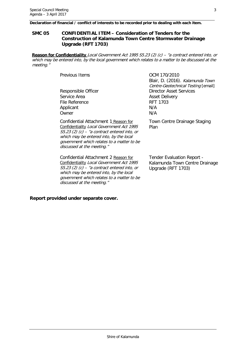**Declaration of financial / conflict of interests to be recorded prior to dealing with each item.**

#### <span id="page-7-0"></span>**SMC 05 CONFIDENTIAL ITEM – Consideration of Tenders for the Construction of Kalamunda Town Centre Stormwater Drainage Upgrade (RFT 1703)**

**Reason for Confidentiality** Local Government Act 1995 S5.23 (2) (c) – "a contract entered into, or which may be entered into, by the local government which relates to a matter to be discussed at the meeting."

| <b>Previous Items</b>                          | OCM 170/2010                        |
|------------------------------------------------|-------------------------------------|
|                                                | Blair, D. (2016). Kalamunda Town    |
|                                                | Centre-Geotechnical Testing [email] |
| Responsible Officer                            | <b>Director Asset Services</b>      |
| Service Area                                   | <b>Asset Delivery</b>               |
| File Reference                                 | <b>RFT 1703</b>                     |
| Applicant                                      | N/A                                 |
| Owner                                          | N/A                                 |
| Confidential Attachment 1 Reason for           | Town Centre Drainage Staging        |
| Confidentiality Local Government Act 1995      | Plan                                |
| $55.23$ (2) (c) – "a contract entered into, or |                                     |
| which may be entered into, by the local        |                                     |
| government which relates to a matter to be     |                                     |

Confidential Attachment 2 Reason for Confidentiality Local Government Act 1995 S5.23 (2) (c) – "a contract entered into, or which may be entered into, by the local government which relates to a matter to be discussed at the meeting."

discussed at the meeting."

Tender Evaluation Report - Kalamunda Town Centre Drainage Upgrade (RFT 1703)

#### **Report provided under separate cover.**